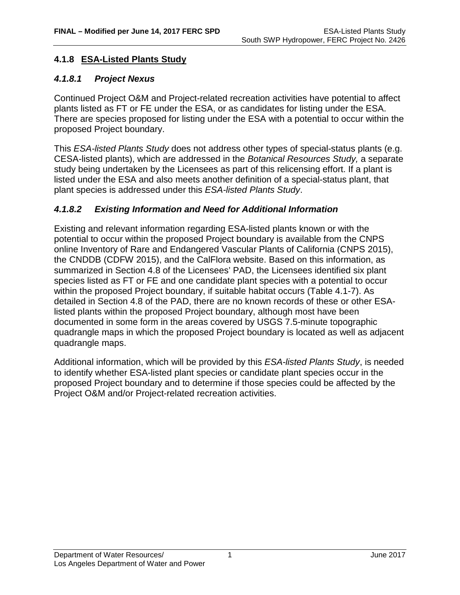# **4.1.8 ESA-Listed Plants Study**

#### *4.1.8.1 Project Nexus*

Continued Project O&M and Project-related recreation activities have potential to affect plants listed as FT or FE under the ESA, or as candidates for listing under the ESA. There are species proposed for listing under the ESA with a potential to occur within the proposed Project boundary.

This *ESA-listed Plants Study* does not address other types of special-status plants (e.g. CESA-listed plants), which are addressed in the *Botanical Resources Study,* a separate study being undertaken by the Licensees as part of this relicensing effort. If a plant is listed under the ESA and also meets another definition of a special-status plant, that plant species is addressed under this *ESA-listed Plants Study*.

## *4.1.8.2 Existing Information and Need for Additional Information*

Existing and relevant information regarding ESA-listed plants known or with the potential to occur within the proposed Project boundary is available from the CNPS online Inventory of Rare and Endangered Vascular Plants of California (CNPS 2015), the CNDDB (CDFW 2015), and the CalFlora website. Based on this information, as summarized in Section 4.8 of the Licensees' PAD, the Licensees identified six plant species listed as FT or FE and one candidate plant species with a potential to occur within the proposed Project boundary, if suitable habitat occurs (Table 4.1-7). As detailed in Section 4.8 of the PAD, there are no known records of these or other ESAlisted plants within the proposed Project boundary, although most have been documented in some form in the areas covered by USGS 7.5-minute topographic quadrangle maps in which the proposed Project boundary is located as well as adjacent quadrangle maps.

Additional information, which will be provided by this *ESA-listed Plants Study*, is needed to identify whether ESA-listed plant species or candidate plant species occur in the proposed Project boundary and to determine if those species could be affected by the Project O&M and/or Project-related recreation activities.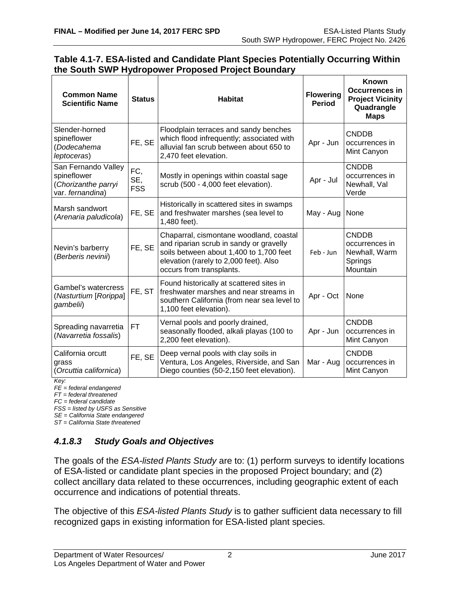Apr - Oct None

CNDDB occurrences in Mint Canyon

CNDDB occurrences in Mint Canyon

Apr - Jun

Mar - Aug

| <b>Common Name</b><br><b>Scientific Name</b>                                  | <b>Status</b>            | <b>Habitat</b>                                                                                                                                                                                      | <b>Flowering</b><br><b>Period</b> | <b>Known</b><br><b>Occurrences in</b><br><b>Project Vicinity</b><br>Quadrangle<br><b>Maps</b> |
|-------------------------------------------------------------------------------|--------------------------|-----------------------------------------------------------------------------------------------------------------------------------------------------------------------------------------------------|-----------------------------------|-----------------------------------------------------------------------------------------------|
| Slender-horned<br>spineflower<br>(Dodecahema<br>leptoceras)                   | FE, SE                   | Floodplain terraces and sandy benches<br>which flood infrequently; associated with<br>alluvial fan scrub between about 650 to<br>2,470 feet elevation.                                              | Apr - Jun                         | <b>CNDDB</b><br>occurrences in<br>Mint Canyon                                                 |
| San Fernando Valley<br>spineflower<br>(Chorizanthe parryi<br>var. fernandina) | FC,<br>SE,<br><b>FSS</b> | Mostly in openings within coastal sage<br>scrub (500 - 4,000 feet elevation).                                                                                                                       | Apr - Jul                         | <b>CNDDB</b><br>occurrences in<br>Newhall, Val<br>Verde                                       |
| Marsh sandwort<br>(Arenaria paludicola)                                       | FE, SE                   | Historically in scattered sites in swamps<br>and freshwater marshes (sea level to<br>1,480 feet).                                                                                                   | May - Aug                         | None                                                                                          |
| Nevin's barberry<br>(Berberis nevinii)                                        | FE, SE                   | Chaparral, cismontane woodland, coastal<br>and riparian scrub in sandy or gravelly<br>soils between about 1,400 to 1,700 feet<br>elevation (rarely to 2,000 feet). Also<br>occurs from transplants. | Feb - Jun                         | <b>CNDDB</b><br>occurrences in<br>Newhall, Warm<br>Springs<br>Mountain                        |
| $\mathbf{C}$ and $\mathbf{C}$ and $\mathbf{C}$                                |                          | Found historically at scattered sites in                                                                                                                                                            |                                   |                                                                                               |

freshwater marshes and near streams in southern California (from near sea level to

seasonally flooded, alkali playas (100 to

Ventura, Los Angeles, Riverside, and San Diego counties (50-2,150 feet elevation).

1,100 feet elevation).

2,200 feet elevation).

 $FT$  Vernal pools and poorly drained,

FE, SE Deep vernal pools with clay soils in

#### **Table 4.1-7. ESA-listed and Candidate Plant Species Potentially Occurring Within the South SWP Hydropower Proposed Project Boundary**

*Key:*

California orcutt

*FE = federal endangered FT = federal threatened*

(*Orcuttia californica*)

Gambel's watercress (*Nasturtium* [*Rorippa*]

Spreading navarretia (*Navarretia fossalis*)

*gambelii*)

grass

*FC = federal candidate*

*FSS = listed by USFS as Sensitive*

*SE = California State endangered*

*ST = California State threatened*

# *4.1.8.3 Study Goals and Objectives*

FE, ST

The goals of the *ESA-listed Plants Study* are to: (1) perform surveys to identify locations of ESA-listed or candidate plant species in the proposed Project boundary; and (2) collect ancillary data related to these occurrences, including geographic extent of each occurrence and indications of potential threats.

The objective of this *ESA-listed Plants Study* is to gather sufficient data necessary to fill recognized gaps in existing information for ESA-listed plant species.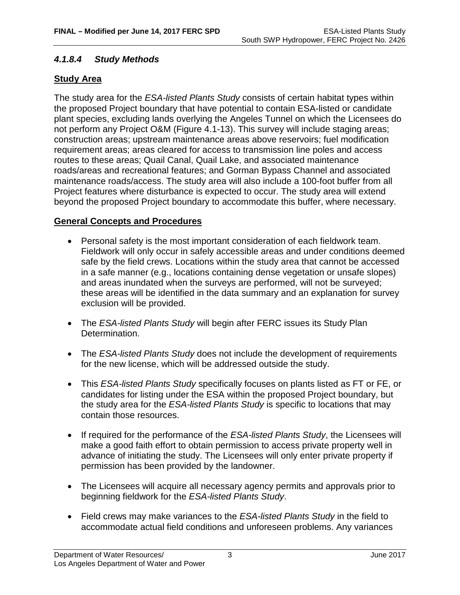# *4.1.8.4 Study Methods*

# **Study Area**

The study area for the *ESA-listed Plants Study* consists of certain habitat types within the proposed Project boundary that have potential to contain ESA-listed or candidate plant species, excluding lands overlying the Angeles Tunnel on which the Licensees do not perform any Project O&M (Figure 4.1-13). This survey will include staging areas; construction areas; upstream maintenance areas above reservoirs; fuel modification requirement areas; areas cleared for access to transmission line poles and access routes to these areas; Quail Canal, Quail Lake, and associated maintenance roads/areas and recreational features; and Gorman Bypass Channel and associated maintenance roads/access. The study area will also include a 100-foot buffer from all Project features where disturbance is expected to occur. The study area will extend beyond the proposed Project boundary to accommodate this buffer, where necessary.

## **General Concepts and Procedures**

- Personal safety is the most important consideration of each fieldwork team. Fieldwork will only occur in safely accessible areas and under conditions deemed safe by the field crews. Locations within the study area that cannot be accessed in a safe manner (e.g., locations containing dense vegetation or unsafe slopes) and areas inundated when the surveys are performed, will not be surveyed; these areas will be identified in the data summary and an explanation for survey exclusion will be provided.
- The *ESA-listed Plants Study* will begin after FERC issues its Study Plan Determination.
- The *ESA-listed Plants Study* does not include the development of requirements for the new license, which will be addressed outside the study.
- This *ESA-listed Plants Study* specifically focuses on plants listed as FT or FE, or candidates for listing under the ESA within the proposed Project boundary, but the study area for the *ESA-listed Plants Study* is specific to locations that may contain those resources.
- If required for the performance of the *ESA-listed Plants Study*, the Licensees will make a good faith effort to obtain permission to access private property well in advance of initiating the study. The Licensees will only enter private property if permission has been provided by the landowner.
- The Licensees will acquire all necessary agency permits and approvals prior to beginning fieldwork for the *ESA-listed Plants Study*.
- Field crews may make variances to the *ESA-listed Plants Study* in the field to accommodate actual field conditions and unforeseen problems. Any variances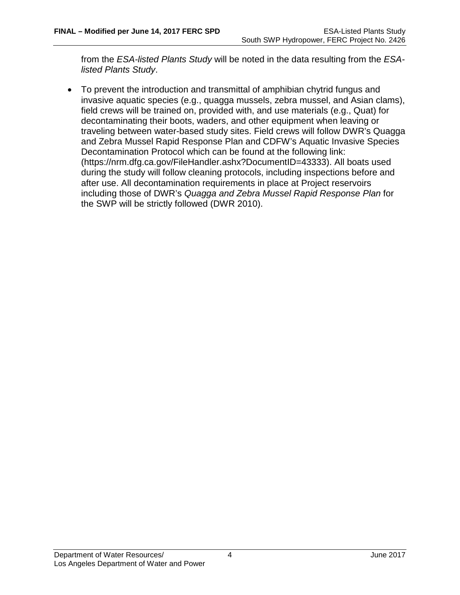from the *ESA-listed Plants Study* will be noted in the data resulting from the *ESAlisted Plants Study*.

• To prevent the introduction and transmittal of amphibian chytrid fungus and invasive aquatic species (e.g., quagga mussels, zebra mussel, and Asian clams), field crews will be trained on, provided with, and use materials (e.g., Quat) for decontaminating their boots, waders, and other equipment when leaving or traveling between water-based study sites. Field crews will follow DWR's Quagga and Zebra Mussel Rapid Response Plan and CDFW's Aquatic Invasive Species Decontamination Protocol which can be found at the following link: [\(https://nrm.dfg.ca.gov/FileHandler.ashx?DocumentID=43333\)](https://nrm.dfg.ca.gov/FileHandler.ashx?DocumentID=43333). All boats used during the study will follow cleaning protocols, including inspections before and after use. All decontamination requirements in place at Project reservoirs including those of DWR's *Quagga and Zebra Mussel Rapid Response Plan* for the SWP will be strictly followed (DWR 2010).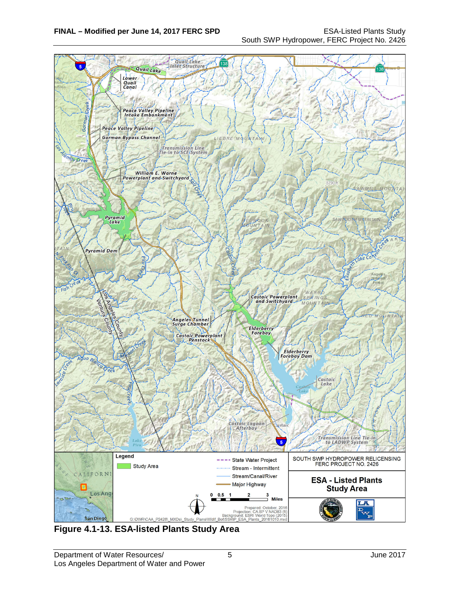

**Figure 4.1-13. ESA-listed Plants Study Area**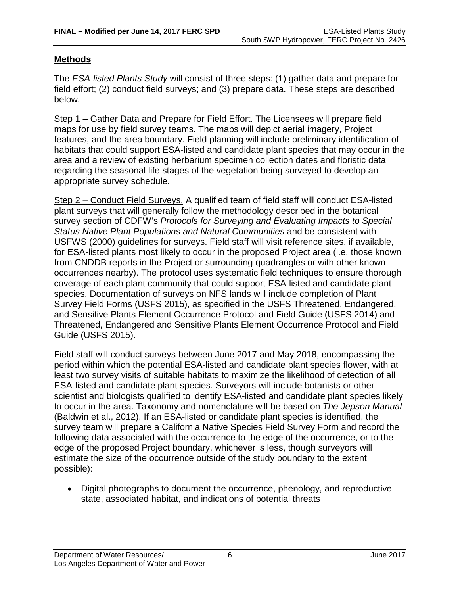## **Methods**

The *ESA-listed Plants Study* will consist of three steps: (1) gather data and prepare for field effort; (2) conduct field surveys; and (3) prepare data. These steps are described below.

Step 1 – Gather Data and Prepare for Field Effort. The Licensees will prepare field maps for use by field survey teams. The maps will depict aerial imagery, Project features, and the area boundary. Field planning will include preliminary identification of habitats that could support ESA-listed and candidate plant species that may occur in the area and a review of existing herbarium specimen collection dates and floristic data regarding the seasonal life stages of the vegetation being surveyed to develop an appropriate survey schedule.

Step 2 – Conduct Field Surveys. A qualified team of field staff will conduct ESA-listed plant surveys that will generally follow the methodology described in the botanical survey section of CDFW's *Protocols for Surveying and Evaluating Impacts to Special Status Native Plant Populations and Natural Communities* and be consistent with USFWS (2000) guidelines for surveys. Field staff will visit reference sites, if available, for ESA-listed plants most likely to occur in the proposed Project area (i.e. those known from CNDDB reports in the Project or surrounding quadrangles or with other known occurrences nearby). The protocol uses systematic field techniques to ensure thorough coverage of each plant community that could support ESA-listed and candidate plant species. Documentation of surveys on NFS lands will include completion of Plant Survey Field Forms (USFS 2015), as specified in the USFS Threatened, Endangered, and Sensitive Plants Element Occurrence Protocol and Field Guide (USFS 2014) and Threatened, Endangered and Sensitive Plants Element Occurrence Protocol and Field Guide (USFS 2015).

Field staff will conduct surveys between June 2017 and May 2018, encompassing the period within which the potential ESA-listed and candidate plant species flower, with at least two survey visits of suitable habitats to maximize the likelihood of detection of all ESA-listed and candidate plant species. Surveyors will include botanists or other scientist and biologists qualified to identify ESA-listed and candidate plant species likely to occur in the area. Taxonomy and nomenclature will be based on *The Jepson Manual*  (Baldwin et al., 2012). If an ESA-listed or candidate plant species is identified, the survey team will prepare a California Native Species Field Survey Form and record the following data associated with the occurrence to the edge of the occurrence, or to the edge of the proposed Project boundary, whichever is less, though surveyors will estimate the size of the occurrence outside of the study boundary to the extent possible):

• Digital photographs to document the occurrence, phenology, and reproductive state, associated habitat, and indications of potential threats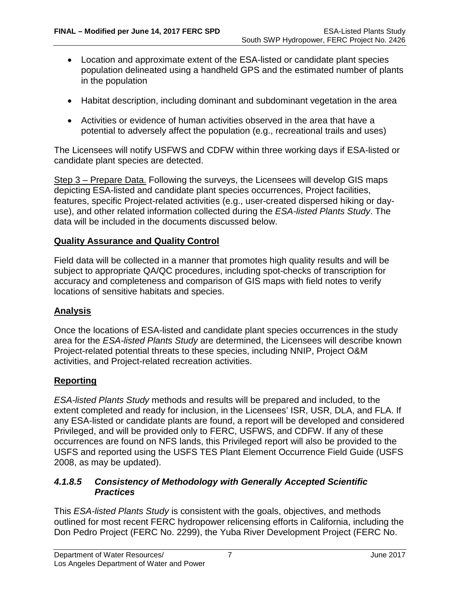- Location and approximate extent of the ESA-listed or candidate plant species population delineated using a handheld GPS and the estimated number of plants in the population
- Habitat description, including dominant and subdominant vegetation in the area
- Activities or evidence of human activities observed in the area that have a potential to adversely affect the population (e.g., recreational trails and uses)

The Licensees will notify USFWS and CDFW within three working days if ESA-listed or candidate plant species are detected.

Step 3 – Prepare Data. Following the surveys, the Licensees will develop GIS maps depicting ESA-listed and candidate plant species occurrences, Project facilities, features, specific Project-related activities (e.g., user-created dispersed hiking or dayuse), and other related information collected during the *ESA-listed Plants Study*. The data will be included in the documents discussed below.

## **Quality Assurance and Quality Control**

Field data will be collected in a manner that promotes high quality results and will be subject to appropriate QA/QC procedures, including spot-checks of transcription for accuracy and completeness and comparison of GIS maps with field notes to verify locations of sensitive habitats and species.

## **Analysis**

Once the locations of ESA-listed and candidate plant species occurrences in the study area for the *ESA-listed Plants Study* are determined, the Licensees will describe known Project-related potential threats to these species, including NNIP, Project O&M activities, and Project-related recreation activities.

## **Reporting**

*ESA-listed Plants Study* methods and results will be prepared and included, to the extent completed and ready for inclusion, in the Licensees' ISR, USR, DLA, and FLA. If any ESA-listed or candidate plants are found, a report will be developed and considered Privileged, and will be provided only to FERC, USFWS, and CDFW. If any of these occurrences are found on NFS lands, this Privileged report will also be provided to the USFS and reported using the USFS TES Plant Element Occurrence Field Guide (USFS 2008, as may be updated).

## *4.1.8.5 Consistency of Methodology with Generally Accepted Scientific Practices*

This *ESA-listed Plants Study* is consistent with the goals, objectives, and methods outlined for most recent FERC hydropower relicensing efforts in California, including the Don Pedro Project (FERC No. 2299), the Yuba River Development Project (FERC No.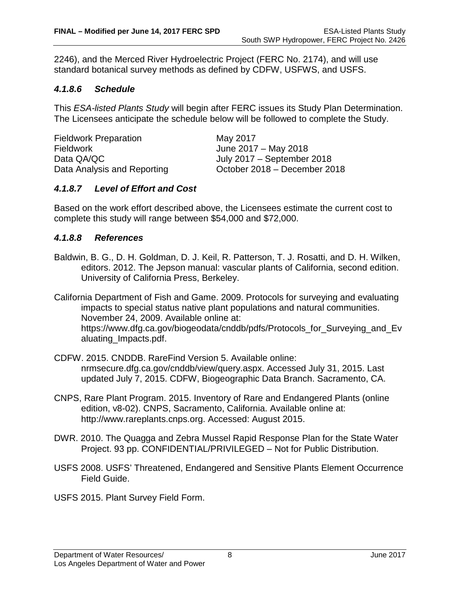2246), and the Merced River Hydroelectric Project (FERC No. 2174), and will use standard botanical survey methods as defined by CDFW, USFWS, and USFS.

#### *4.1.8.6 Schedule*

This *ESA-listed Plants Study* will begin after FERC issues its Study Plan Determination. The Licensees anticipate the schedule below will be followed to complete the Study.

| <b>Fieldwork Preparation</b> | May 2017                     |
|------------------------------|------------------------------|
| Fieldwork                    | June 2017 – May 2018         |
| Data QA/QC                   | July 2017 – September 2018   |
| Data Analysis and Reporting  | October 2018 - December 2018 |

#### *4.1.8.7 Level of Effort and Cost*

Based on the work effort described above, the Licensees estimate the current cost to complete this study will range between \$54,000 and \$72,000.

#### *4.1.8.8 References*

Baldwin, B. G., D. H. Goldman, D. J. Keil, R. Patterson, T. J. Rosatti, and D. H. Wilken, editors. 2012. The Jepson manual: vascular plants of California, second edition. University of California Press, Berkeley.

California Department of Fish and Game. 2009. Protocols for surveying and evaluating impacts to special status native plant populations and natural communities. November 24, 2009. Available online at: https://www.dfg.ca.gov/biogeodata/cnddb/pdfs/Protocols\_for\_Surveying\_and\_Ev aluating\_Impacts.pdf.

- CDFW. 2015. CNDDB. RareFind Version 5. Available online: nrmsecure.dfg.ca.gov/cnddb/view/query.aspx. Accessed July 31, 2015. Last updated July 7, 2015. CDFW, Biogeographic Data Branch. Sacramento, CA.
- CNPS, Rare Plant Program. 2015. Inventory of Rare and Endangered Plants (online edition, v8-02). CNPS, Sacramento, California. Available online at: http://www.rareplants.cnps.org. Accessed: August 2015.
- DWR. 2010. The Quagga and Zebra Mussel Rapid Response Plan for the State Water Project. 93 pp. CONFIDENTIAL/PRIVILEGED – Not for Public Distribution.
- USFS 2008. USFS' Threatened, Endangered and Sensitive Plants Element Occurrence Field Guide.
- USFS 2015. Plant Survey Field Form.